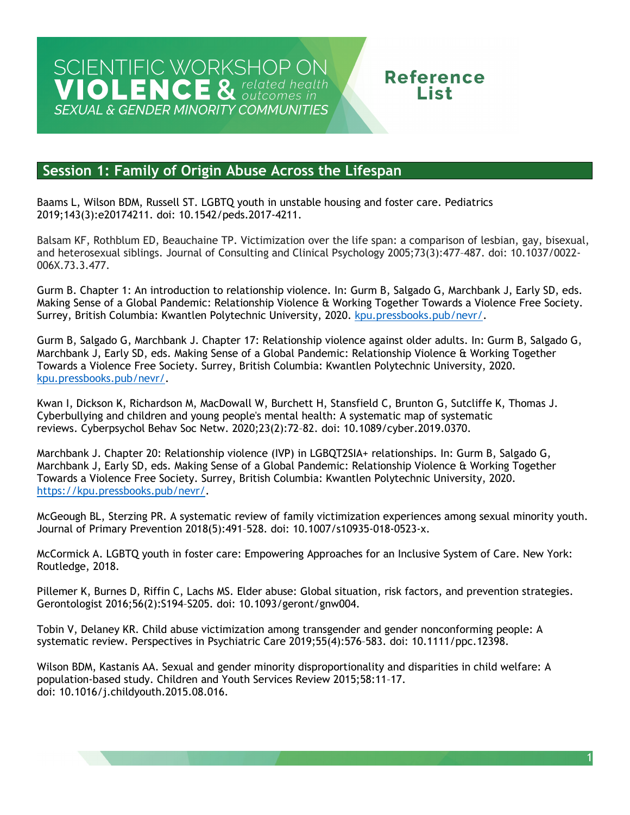## **Reference** l ist.

### **Session 1: Family of Origin Abuse Across the Lifespan**

 Baams L, Wilson BDM, Russell ST. LGBTQ youth in unstable housing and foster care. Pediatrics 2019;143(3):e20174211. doi: 10.1542/peds.2017-4211.

Balsam KF, Rothblum ED, Beauchaine TP. Victimization over the life span: a comparison of lesbian, gay, bisexual, and heterosexual siblings. Journal of Consulting and Clinical Psychology 2005;73(3):477–487. doi: 10.1037/0022- 006X.73.3.477.

 Gurm B. Chapter 1: An introduction to relationship violence. In: Gurm B, Salgado G, Marchbank J, Early SD, eds. Making Sense of a Global Pandemic: Relationship Violence & Working Together Towards a Violence Free Society. Surrey, British Columbia: Kwantlen Polytechnic University, 2020. <u>kpu.pressbooks.pub/nevr/</u>.

 Gurm B, Salgado G, Marchbank J. Chapter 17: Relationship violence against older adults. In: Gurm B, Salgado G, Marchbank J, Early SD, eds. Making Sense of a Global Pandemic: Relationship Violence & Working Together Towards a Violence Free Society. Surrey, British Columbia: Kwantlen Polytechnic University, 2020. [kpu.pressbooks.pub/nevr/.](https://kpu.pressbooks.pub/nevr/)

reviews. Cyberpsychol Behav Soc Netw. 2020;23(2):72-82. doi: 10.1089/cyber.2019.0370. Kwan I, Dickson K, Richardson M, MacDowall W, Burchett H, Stansfield C, Brunton G, Sutcliffe K, Thomas J. Cyberbullying and children and young people's mental health: A systematic map of systematic

reviews. Cyberpsychol Behav Soc Netw. 2020;23(2):72-82. doi: 10.1089/cyber.2019.0370.<br>Marchbank J. Chapter 20: Relationship violence (IVP) in LGBQT2SIA+ relationships. In: Gurm B, Salgado G, Marchbank J, Early SD, eds. Making Sense of a Global Pandemic: Relationship Violence & Working Together Towards a Violence Free Society. Surrey, British Columbia: Kwantlen Polytechnic University, 2020. [https://kpu.pressbooks.pub/nevr/.](https://kpu.pressbooks.pub/nevr/)

McGeough BL, Sterzing PR. A systematic review of family victimization experiences among sexual minority youth. Journal of Primary Prevention 2018(5):491–528. doi: 10.1007/s10935-018-0523-x.

 McCormick A. LGBTQ youth in foster care: Empowering Approaches for an Inclusive System of Care. New York: Routledge, 2018.

 Pillemer K, Burnes D, Riffin C, Lachs MS. Elder abuse: Global situation, risk factors, and prevention strategies. Gerontologist 2016;56(2):S194-S205. doi: 10.1093/geront/gnw004.

Gerontologist 2016;56(2):S194-S205. doi: 10.1093/geront/gnw004.<br>Tobin V, Delaney KR. Child abuse victimization among transgender and gender nonconforming people: A systematic review. Perspectives in Psychiatric Care 2019;55(4):576–583. doi: 10.1111/ppc.12398.

 Wilson BDM, Kastanis AA. Sexual and gender minority disproportionality and disparities in child welfare: A population-based study. Children and Youth Services Review 2015;58:11–17. doi: 10.1016/j.childyouth.2015.08.016.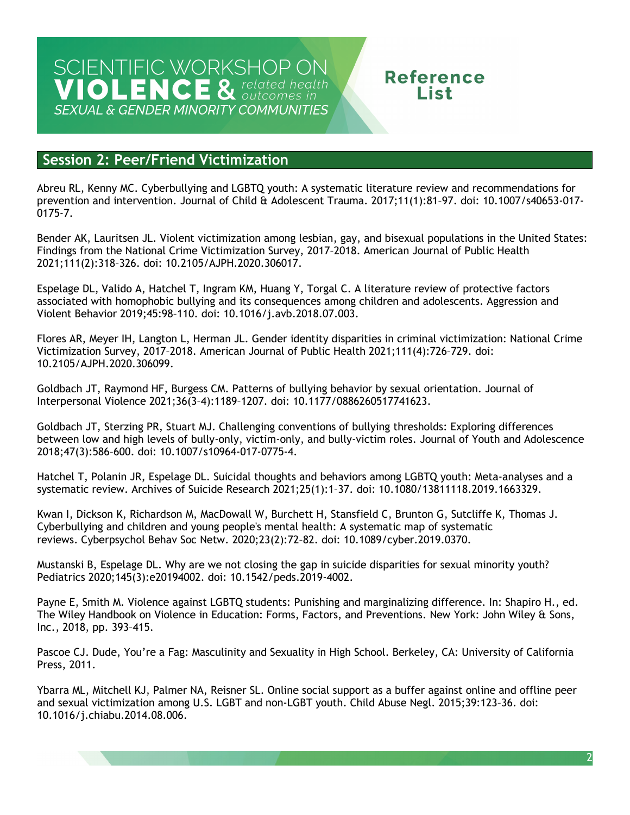# SCIENTIFIC WORKSHOP ON<br>VIOLENCE & related health **SEXUAL & GENDER MINORITY COMMUNITIES**

# **Reference** l ist.

### **Session 2: Peer/Friend Victimization**

Abreu RL, Kenny MC. Cyberbullying and LGBTQ youth: A systematic literature review and recommendations for prevention and intervention. Journal of Child & Adolescent Trauma. 2017;11(1):81–97. doi: 10.1007/s40653-017- 0175-7.

 Findings from the National Crime Victimization Survey, 2017–2018. American Journal of Public Health Bender AK, Lauritsen JL. Violent victimization among lesbian, gay, and bisexual populations in the United States: 2021;111(2):318–326. doi: 10.2105/AJPH.2020.306017.

 Espelage DL, Valido A, Hatchel T, Ingram KM, Huang Y, Torgal C. A literature review of protective factors associated with homophobic bullying and its consequences among children and adolescents. Aggression and Violent Behavior 2019;45:98–110. doi: 10.1016/j.avb.2018.07.003.

 Flores AR, Meyer IH, Langton L, Herman JL. Gender identity disparities in criminal victimization: National Crime Victimization Survey, 2017–2018. American Journal of Public Health 2021;111(4):726–729. doi: 10.2105/AJPH.2020.306099.

 Goldbach JT, Raymond HF, Burgess CM. Patterns of bullying behavior by sexual orientation. Journal of Interpersonal Violence 2021;36(3–4):1189–1207. doi: 10.1177/0886260517741623.

Goldbach JT, Sterzing PR, Stuart MJ. Challenging conventions of bullying thresholds: Exploring differences between low and high levels of bully-only, victim-only, and bully-victim roles. Journal of Youth and Adolescence 2018;47(3):586–600. doi: 10.1007/s10964-017-0775-4.

 systematic review. Archives of Suicide Research 2021;25(1):1–37. doi: 10.1080/13811118.2019.1663329. Hatchel T, Polanin JR, Espelage DL. Suicidal thoughts and behaviors among LGBTQ youth: Meta-analyses and a

reviews. Cyberpsychol Behav Soc Netw. 2020;23(2):72-82. doi: 10.1089/cyber.2019.0370. Kwan I, Dickson K, Richardson M, MacDowall W, Burchett H, Stansfield C, Brunton G, Sutcliffe K, Thomas J. Cyberbullying and children and young people's mental health: A systematic map of systematic

Mustanski B, Espelage DL. Why are we not closing the gap in suicide disparities for sexual minority youth? Pediatrics 2020;145(3):e20194002. doi: 10.1542/peds.2019-4002.

Payne E, Smith M. Violence against LGBTQ students: Punishing and marginalizing difference. In: Shapiro H., ed. The Wiley Handbook on Violence in Education: Forms, Factors, and Preventions. New York: John Wiley & Sons, Inc., 2018, pp. 393–415.

 Pascoe CJ. Dude, You're a Fag: Masculinity and Sexuality in High School. Berkeley, CA: University of California Press, 2011.

 Ybarra ML, Mitchell KJ, Palmer NA, Reisner SL. Online social support as a buffer against online and offline peer and sexual victimization among U.S. LGBT and non-LGBT youth. Child Abuse Negl. 2015;39:123–36. doi: 10.1016/j.chiabu.2014.08.006.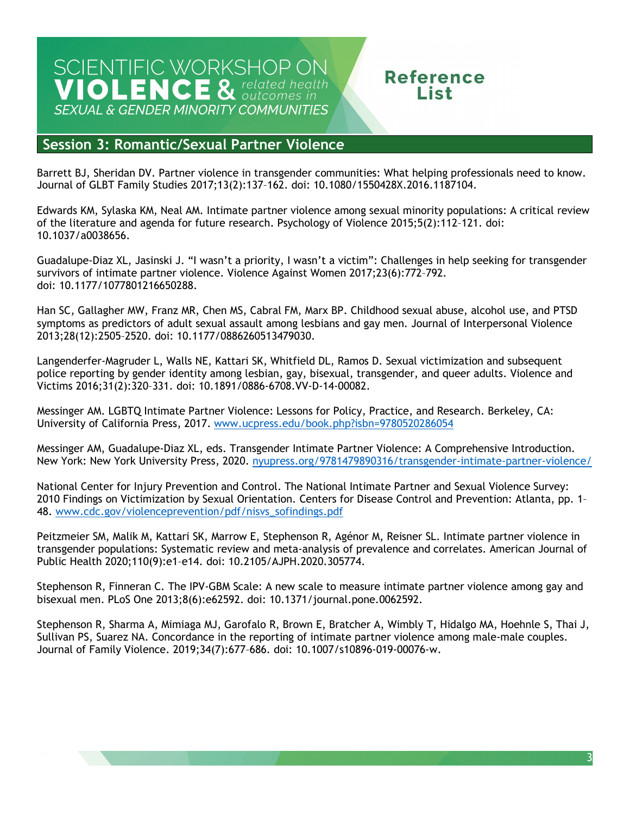# SCIENTIFIC WORKSHOP ON<br>VIOLENCE & related health **SEXUAL & GENDER MINORITY COMMUNITIES**

## **Reference** l ict

### **Session 3: Romantic/Sexual Partner Violence**

Barrett BJ, Sheridan DV. Partner violence in transgender communities: What helping professionals need to know. Journal of GLBT Family Studies 2017;13(2):137–162. doi: 10.1080/1550428X.2016.1187104.

 Edwards KM, Sylaska KM, Neal AM. Intimate partner violence among sexual minority populations: A critical review of the literature and agenda for future research. Psychology of Violence 2015;5(2):112–121. doi: 10.1037/a0038656.

 Guadalupe-Diaz XL, Jasinski J. "I wasn't a priority, I wasn't a victim": Challenges in help seeking for transgender survivors of intimate partner violence. Violence Against Women 2017;23(6):772–792. doi: 10.1177/1077801216650288.

 Han SC, Gallagher MW, Franz MR, Chen MS, Cabral FM, Marx BP. Childhood sexual abuse, alcohol use, and PTSD symptoms as predictors of adult sexual assault among lesbians and gay men. Journal of Interpersonal Violence 2013;28(12):2505–2520. doi: 10.1177/0886260513479030.

 Langenderfer-Magruder L, Walls NE, Kattari SK, Whitfield DL, Ramos D. Sexual victimization and subsequent police reporting by gender identity among lesbian, gay, bisexual, transgender, and queer adults. Violence and Victims 2016;31(2):320–331. doi: 10.1891/0886-6708.VV-D-14-00082.

 Messinger AM. LGBTQ Intimate Partner Violence: Lessons for Policy, Practice, and Research. Berkeley, CA: University of California Press, 2017. [www.ucpress.edu/book.php?isbn=9780520286054](http://www.ucpress.edu/book.php?isbn=9780520286054) 

Messinger AM, Guadalupe-Diaz XL, eds. Transgender Intimate Partner Violence: A Comprehensive Introduction. New York: New York University Press, 2020. [nyupress.org/9781479890316/transgender-intimate-partner-violence/](https://nyupress.org/9781479890316/transgender-intimate-partner-violence/) 

National Center for Injury Prevention and Control. The National Intimate Partner and Sexual Violence Survey: 2010 Findings on Victimization by Sexual Orientation. Centers for Disease Control and Prevention: Atlanta, pp. 1– 48. [www.cdc.gov/violenceprevention/pdf/nisvs\\_sofindings.pdf](http://www.cdc.gov/violenceprevention/pdf/nisvs_sofindings.pdf) 

Peitzmeier SM, Malik M, Kattari SK, Marrow E, Stephenson R, Agénor M, Reisner SL. Intimate partner violence in transgender populations: Systematic review and meta-analysis of prevalence and correlates. American Journal of Public Health 2020;110(9):e1–e14. doi: 10.2105/AJPH.2020.305774.

 Stephenson R, Finneran C. The IPV-GBM Scale: A new scale to measure intimate partner violence among gay and bisexual men. PLoS One 2013;8(6):e62592. doi: 10.1371/journal.pone.0062592.

 Stephenson R, Sharma A, Mimiaga MJ, Garofalo R, Brown E, Bratcher A, Wimbly T, Hidalgo MA, Hoehnle S, Thai J, Journal of Family Violence. 2019;34(7):677–686. doi: 10.1007/s10896-019-00076-w. Sullivan PS, Suarez NA. Concordance in the reporting of intimate partner violence among male-male couples.